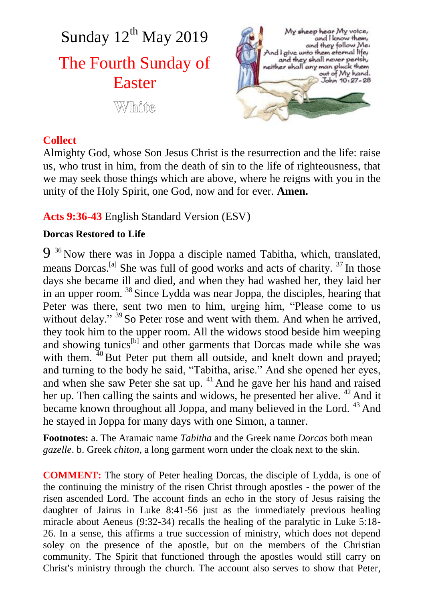Sunday 12<sup>th</sup> May 2019 The Fourth Sunday of Easter **White** 

My sheep hear My voice, and I know them and they follow Me. And I give unto them eternal life,<br>and they shall never perish, and mey shall hever person<br>neither shall any man pluck them<br>out of My hand. John 10, 27-28

# **Collect**

Almighty God, whose Son Jesus Christ is the resurrection and the life: raise us, who trust in him, from the death of sin to the life of righteousness, that we may seek those things which are above, where he reigns with you in the unity of the Holy Spirit, one God, now and for ever. **Amen.**

# **Acts 9:36-43** English Standard Version (ESV)

#### **Dorcas Restored to Life**

9<sup>36</sup> Now there was in Joppa a disciple named Tabitha, which, translated, means Dorcas.<sup>[a]</sup> She was full of good works and acts of charity.<sup>37</sup> In those days she became ill and died, and when they had washed her, they laid her in an upper room. <sup>38</sup> Since Lydda was near Joppa, the disciples, hearing that Peter was there, sent two men to him, urging him, "Please come to us without delay." <sup>39</sup> So Peter rose and went with them. And when he arrived, they took him to the upper room. All the widows stood beside him weeping and showing tunics<sup>[b]</sup> and other garments that Dorcas made while she was with them.  $40$  But Peter put them all outside, and knelt down and prayed; and turning to the body he said, "Tabitha, arise." And she opened her eyes, and when she saw Peter she sat up. <sup>41</sup> And he gave her his hand and raised her up. Then calling the saints and widows, he presented her alive. <sup>42</sup> And it became known throughout all Joppa, and many believed in the Lord. <sup>43</sup> And he stayed in Joppa for many days with one Simon, a tanner.

**Footnotes:** a. The Aramaic name *Tabitha* and the Greek name *Dorcas* both mean *gazelle*. b. Greek *chiton*, a long garment worn under the cloak next to the skin.

**COMMENT:** The story of Peter healing Dorcas, the disciple of Lydda, is one of the continuing the ministry of the risen Christ through apostles - the power of the risen ascended Lord. The account finds an echo in the story of Jesus raising the daughter of Jairus in Luke 8:41-56 just as the immediately previous healing miracle about Aeneus (9:32-34) recalls the healing of the paralytic in Luke 5:18- 26. In a sense, this affirms a true succession of ministry, which does not depend soley on the presence of the apostle, but on the members of the Christian community. The Spirit that functioned through the apostles would still carry on Christ's ministry through the church. The account also serves to show that Peter,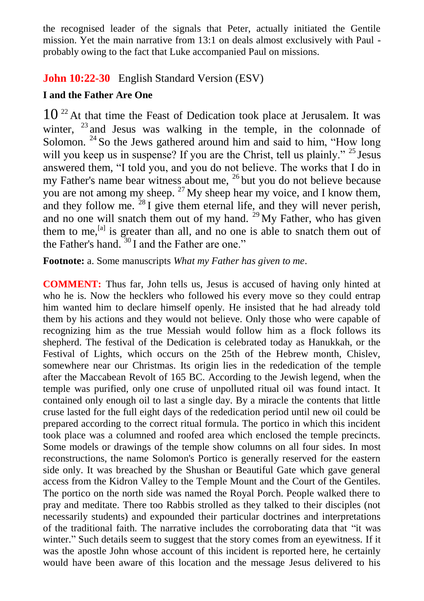the recognised leader of the signals that Peter, actually initiated the Gentile mission. Yet the main narrative from 13:1 on deals almost exclusively with Paul probably owing to the fact that Luke accompanied Paul on missions.

# **John 10:22-30** English Standard Version (ESV)

### **I and the Father Are One**

 $10^{22}$  At that time the Feast of Dedication took place at Jerusalem. It was winter,  $^{23}$  and Jesus was walking in the temple, in the colonnade of Solomon.  $24$  So the Jews gathered around him and said to him, "How long will you keep us in suspense? If you are the Christ, tell us plainly." <sup>25</sup> Jesus answered them, "I told you, and you do not believe. The works that I do in my Father's name bear witness about me, <sup>26</sup> but you do not believe because you are not among my sheep.  $27$  My sheep hear my voice, and I know them, and they follow me.  $^{28}$  I give them eternal life, and they will never perish, and no one will snatch them out of my hand.  $29$  My Father, who has given them to me,  $^{[a]}$  is greater than all, and no one is able to snatch them out of the Father's hand.  $30 \text{ I}$  and the Father are one."

**Footnote:** a. Some manuscripts *What my Father has given to me*.

**COMMENT:** Thus far, John tells us, Jesus is accused of having only hinted at who he is. Now the hecklers who followed his every move so they could entrap him wanted him to declare himself openly. He insisted that he had already told them by his actions and they would not believe. Only those who were capable of recognizing him as the true Messiah would follow him as a flock follows its shepherd. The festival of the Dedication is celebrated today as Hanukkah, or the Festival of Lights, which occurs on the 25th of the Hebrew month, Chislev, somewhere near our Christmas. Its origin lies in the rededication of the temple after the Maccabean Revolt of 165 BC. According to the Jewish legend, when the temple was purified, only one cruse of unpolluted ritual oil was found intact. It contained only enough oil to last a single day. By a miracle the contents that little cruse lasted for the full eight days of the rededication period until new oil could be prepared according to the correct ritual formula. The portico in which this incident took place was a columned and roofed area which enclosed the temple precincts. Some models or drawings of the temple show columns on all four sides. In most reconstructions, the name Solomon's Portico is generally reserved for the eastern side only. It was breached by the Shushan or Beautiful Gate which gave general access from the Kidron Valley to the Temple Mount and the Court of the Gentiles. The portico on the north side was named the Royal Porch. People walked there to pray and meditate. There too Rabbis strolled as they talked to their disciples (not necessarily students) and expounded their particular doctrines and interpretations of the traditional faith. The narrative includes the corroborating data that "it was winter." Such details seem to suggest that the story comes from an eyewitness. If it was the apostle John whose account of this incident is reported here, he certainly would have been aware of this location and the message Jesus delivered to his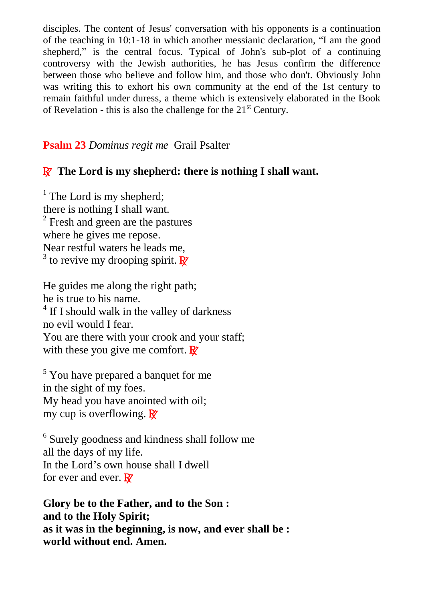disciples. The content of Jesus' conversation with his opponents is a continuation of the teaching in 10:1-18 in which another messianic declaration, "I am the good shepherd," is the central focus. Typical of John's sub-plot of a continuing controversy with the Jewish authorities, he has Jesus confirm the difference between those who believe and follow him, and those who don't. Obviously John was writing this to exhort his own community at the end of the 1st century to remain faithful under duress, a theme which is extensively elaborated in the Book of Revelation - this is also the challenge for the  $21<sup>st</sup>$  Century.

# **Psalm 23** *Dominus regit me* Grail Psalter

# R **The Lord is my shepherd: there is nothing I shall want.**

 $<sup>1</sup>$  The Lord is my shepherd;</sup> there is nothing I shall want. <sup>2</sup> Fresh and green are the pastures where he gives me repose. Near restful waters he leads me, <sup>3</sup> to revive my drooping spirit.  $\overline{\mathbf{R}}$ 

He guides me along the right path; he is true to his name. <sup>4</sup> If I should walk in the valley of darkness no evil would I fear. You are there with your crook and your staff; with these you give me comfort.  $\mathbb{R}^7$ 

<sup>5</sup> You have prepared a banquet for me in the sight of my foes. My head you have anointed with oil; my cup is overflowing.  $\mathbb{R}^7$ 

<sup>6</sup> Surely goodness and kindness shall follow me all the days of my life. In the Lord's own house shall I dwell for ever and ever.  $\mathbf{R}$ 

**Glory be to the Father, and to the Son : and to the Holy Spirit; as it was in the beginning, is now, and ever shall be : world without end. Amen.**